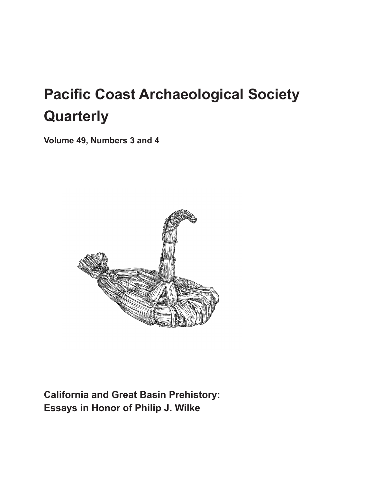# **Pacific Coast Archaeological Society Quarterly**

**Volume 49, Numbers 3 and 4**



**California and Great Basin Prehistory: Essays in Honor of Philip J. Wilke**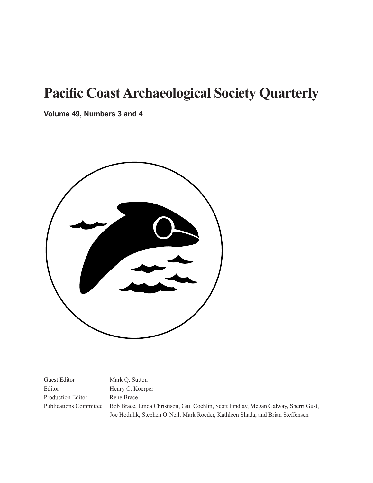## **Pacific Coast Archaeological Society Quarterly**

**Volume 49, Numbers 3 and 4**



Guest Editor Mark Q. Sutton Editor Henry C. Koerper Production Editor Rene Brace

Publications Committee Bob Brace, Linda Christison, Gail Cochlin, Scott Findlay, Megan Galway, Sherri Gust, Joe Hodulik, Stephen O'Neil, Mark Roeder, Kathleen Shada, and Brian Steffensen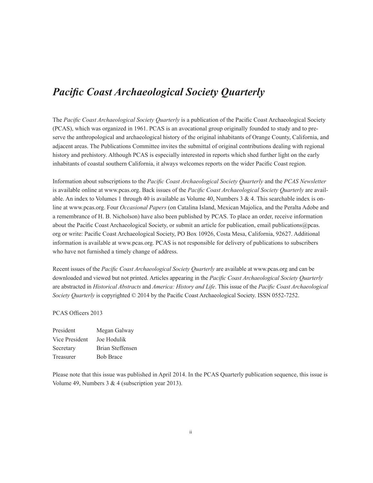#### *Pacific Coast Archaeological Society Quarterly*

The *Pacific Coast Archaeological Society Quarterly* is a publication of the Pacific Coast Archaeological Society (PCAS), which was organized in 1961. PCAS is an avocational group originally founded to study and to preserve the anthropological and archaeological history of the original inhabitants of Orange County, California, and adjacent areas. The Publications Committee invites the submittal of original contributions dealing with regional history and prehistory. Although PCAS is especially interested in reports which shed further light on the early inhabitants of coastal southern California, it always welcomes reports on the wider Pacific Coast region.

Information about subscriptions to the *Pacific Coast Archaeological Society Quarterly* and the *PCAS Newsletter* is available online at www.pcas.org. Back issues of the *Pacific Coast Archaeological Society Quarterly* are available. An index to Volumes 1 through 40 is available as Volume 40, Numbers  $3 \& 4$ . This searchable index is online at www.pcas.org. Four *Occasional Papers* (on Catalina Island, Mexican Majolica, and the Peralta Adobe and a remembrance of H. B. Nicholson) have also been published by PCAS. To place an order, receive information about the Pacific Coast Archaeological Society, or submit an article for publication, email publications@pcas. org or write: Pacific Coast Archaeological Society, PO Box 10926, Costa Mesa, California, 92627. Additional information is available at www.pcas.org. PCAS is not responsible for delivery of publications to subscribers who have not furnished a timely change of address.

Recent issues of the *Pacific Coast Archaeological Society Quarterly* are available at www.pcas.org and can be downloaded and viewed but not printed. Articles appearing in the *Pacific Coast Archaeological Society Quarterly*  are abstracted in *Historical Abstracts* and *America: History and Life*. This issue of the *Pacific Coast Archaeological Society Quarterly* is copyrighted © 2014 by the Pacific Coast Archaeological Society. ISSN 0552-7252.

PCAS Officers 2013

President Megan Galway Vice President Joe Hodulik Secretary Brian Steffensen Treasurer Bob Brace

Please note that this issue was published in April 2014. In the PCAS Quarterly publication sequence, this issue is Volume 49, Numbers 3 & 4 (subscription year 2013).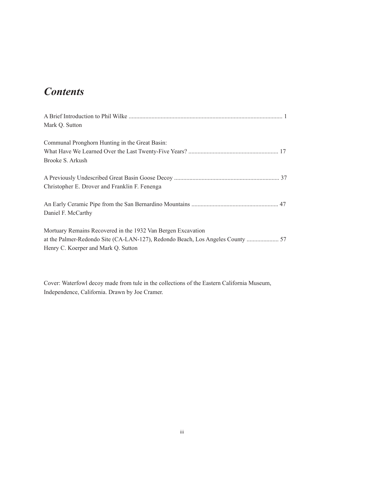### *Contents*

| Mark Q. Sutton                                                                 |
|--------------------------------------------------------------------------------|
|                                                                                |
| Communal Pronghorn Hunting in the Great Basin:                                 |
|                                                                                |
| Brooke S. Arkush                                                               |
|                                                                                |
|                                                                                |
| Christopher E. Drover and Franklin F. Fenenga                                  |
|                                                                                |
| Daniel F. McCarthy                                                             |
|                                                                                |
| Mortuary Remains Recovered in the 1932 Van Bergen Excavation                   |
| at the Palmer-Redondo Site (CA-LAN-127), Redondo Beach, Los Angeles County  57 |
| Henry C. Koerper and Mark Q. Sutton                                            |
|                                                                                |

Cover: Waterfowl decoy made from tule in the collections of the Eastern California Museum, Independence, California. Drawn by Joe Cramer.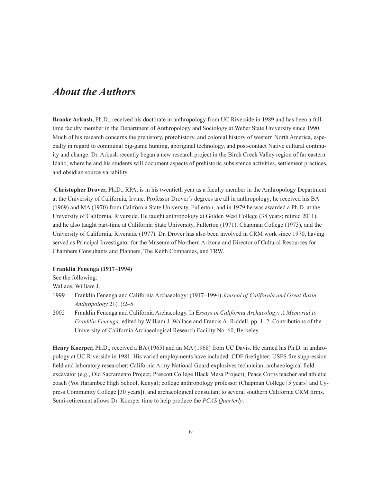#### *About the Authors*

**Brooke Arkush,** Ph.D., received his doctorate in anthropology from UC Riverside in 1989 and has been a fulltime faculty member in the Department of Anthropology and Sociology at Weber State University since 1990. Much of his research concerns the prehistory, protohistory, and colonial history of western North America, especially in regard to communal big-game hunting, aboriginal technology, and post-contact Native cultural continuity and change. Dr. Arkush recently began a new research project in the Birch Creek Valley region of far eastern Idaho, where he and his students will document aspects of prehistoric subsistence activities, settlement practices, and obsidian source variability.

 **Christopher Drover,** Ph.D., RPA, is in his twentieth year as a faculty member in the Anthropology Department at the University of California, Irvine. Professor Drover's degrees are all in anthropology; he received his BA (1969) and MA (1970) from California State University, Fullerton, and in 1979 he was awarded a Ph.D. at the University of California, Riverside. He taught anthropology at Golden West College (38 years; retired 2011), and he also taught part-time at California State University, Fullerton (1971), Chapman College (1973), and the University of California, Riverside (1977). Dr. Drover has also been involved in CRM work since 1970, having served as Principal Investigator for the Museum of Northern Arizona and Director of Cultural Resources for Chambers Consultants and Planners, The Keith Companies, and TRW.

#### **Franklin Fenenga (1917**–**1994)**

See the following:

Wallace, William J.

- 1999 Franklin Fenenga and California Archaeology: (1917–1994) *Journal of California and Great Basin Anthropology* 21(1):2–5.
- 2002 Franklin Fenenga and California Archaeology. In E*ssays in California Archaeology: A Memorial to Franklin Fenenga,* edited by William J. Wallace and Francis A. Riddell, pp. 1–2. Contributions of the University of California Archaeological Research Facility No. 60, Berkeley.

**Henry Koerper,** Ph.D., received a BA (1965) and an MA (1968) from UC Davis. He earned his Ph.D. in anthropology at UC Riverside in 1981. His varied employments have included: CDF firefighter; USFS fire suppression field and laboratory researcher; California Army National Guard explosives technician; archaeological field excavator (e.g., Old Sacramento Project, Prescott College Black Mesa Project); Peace Corps teacher and athletic coach (Voi Harambee High School, Kenya); college anthropology professor (Chapman College [5 years] and Cypress Community College [30 years]); and archaeological consultant to several southern California CRM firms. Semi-retirement allows Dr. Koerper time to help produce the *PCAS Quarterly*.